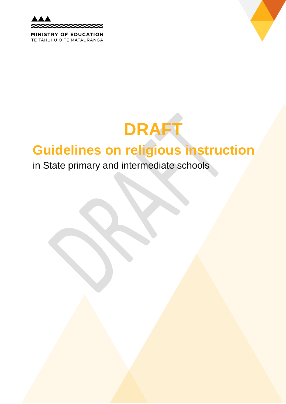

TE TĂHUHU O TE MĂTAURANGA

# **DRAFT**

# **Guidelines on religious instruction**

# in State primary and intermediate schools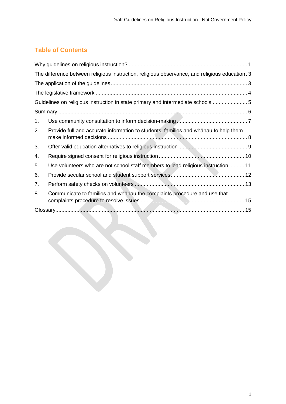# **Table of Contents**

<span id="page-1-0"></span>

|    | The difference between religious instruction, religious observance, and religious education. 3 |  |
|----|------------------------------------------------------------------------------------------------|--|
|    |                                                                                                |  |
|    |                                                                                                |  |
|    | Guidelines on religious instruction in state primary and intermediate schools 5                |  |
|    |                                                                                                |  |
| 1. |                                                                                                |  |
| 2. | Provide full and accurate information to students, families and whanau to help them            |  |
| 3. |                                                                                                |  |
| 4. |                                                                                                |  |
| 5. | Use volunteers who are not school staff members to lead religious instruction  11              |  |
| 6. |                                                                                                |  |
| 7. |                                                                                                |  |
| 8. | Communicate to families and whanau the complaints procedure and use that                       |  |
|    |                                                                                                |  |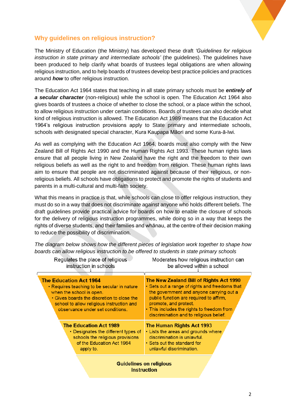

#### **Why guidelines on religious instruction?**

Requiates the place of religious

The Ministry of Education (the Ministry) has developed these draft *'Guidelines for religious instruction in state primary and intermediate schools'* (the guidelines). The guidelines have been produced to help clarify what boards of trustees legal obligations are when allowing religious instruction, and to help boards of trustees develop best practice policies and practices around *how* to offer religious instruction.

The Education Act 1964 states that teaching in all state primary schools must be *entirely of a secular character* (non-religious) while the school is open. The Education Act 1964 also gives boards of trustees a choice of whether to close the school, or a place within the school, to allow religious instruction under certain conditions. Boards of trustees can also decide what kind of religious instruction is allowed. The Education Act 1989 means that the Education Act 1964's religious instruction provisions apply to State primary and intermediate schools, schools with designated special character, Kura Kaupapa Māori and some Kura-ā-Iwi.

As well as complying with the Education Act 1964, boards must also comply with the New Zealand Bill of Rights Act 1990 and the Human Rights Act 1993. These human rights laws ensure that all people living in New Zealand have the right and the freedom to their own religious beliefs as well as the right to and freedom from religion. These human rights laws aim to ensure that people are not discriminated against because of their religious, or nonreligious beliefs. All schools have obligations to protect and promote the rights of students and parents in a multi-cultural and multi-faith society.

What this means in practice is that, while schools can close to offer religious instruction, they must do so in a way that does not discriminate against anyone who holds different beliefs. The draft guidelines provide practical advice for boards on how to enable the closure of schools for the delivery of religious instruction programmes, while doing so in a way that keeps the rights of diverse students, and their families and whānau, at the centre of their decision making to reduce the possibility of discrimination.

*The diagram below shows how the different pieces of legislation work together to shape how boards can allow religious instruction to be offered to students in state primary schools*

Moderates how religious instruction can

| instruction in schools                                                                                                                                                                                                                  | be allowed within a school                                                                                                                                                                                                                                                                         |  |  |  |
|-----------------------------------------------------------------------------------------------------------------------------------------------------------------------------------------------------------------------------------------|----------------------------------------------------------------------------------------------------------------------------------------------------------------------------------------------------------------------------------------------------------------------------------------------------|--|--|--|
| <b>The Education Act 1964</b><br>• Requires teaching to be secular in nature<br>when the school is open.<br>• Gives boards the discretion to close the<br>school to allow religious instruction and<br>observance under set conditions. | The New Zealand Bill of Rights Act 1990<br>• Sets out a range of rights and freedoms that<br>the government and anyone carrying out a<br>public function are required to affirm,<br>promote, and protect.<br>• This includes the rights to freedom from<br>discrimination and to religious belief. |  |  |  |
| <b>The Education Act 1989</b><br>• Designates the different types of<br>schools the religious provisions<br>of the Education Act 1964<br>apply to.                                                                                      | The Human Rights Act 1993<br>• Lists the areas and grounds where<br>discrimination is unlawful.<br>• Sets out the standard for<br>unlawful discrimination.                                                                                                                                         |  |  |  |
| Guidalings on raligious                                                                                                                                                                                                                 |                                                                                                                                                                                                                                                                                                    |  |  |  |

**instruction**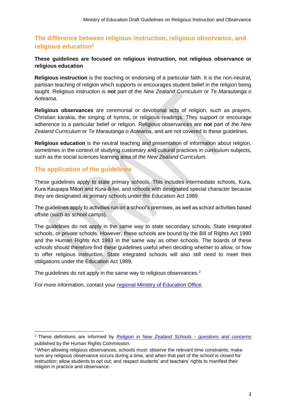#### <span id="page-3-0"></span>**The difference between religious instruction, religious observance, and religious education<sup>1</sup>**

#### **These guidelines are focused on religious instruction, not religious observance or religious education**

**Religious instruction** is the teaching or endorsing of a particular faith. It is the non-neutral, partisan teaching of religion which supports or encourages student belief in the religion being taught. Religious instruction is **not** part of *the New Zealand Curriculum* or *Te Marautanga o Aotearoa*.

**Religious observances** are ceremonial or devotional acts of religion, such as prayers, Christian karakia, the singing of hymns, or religious readings. They support or encourage adherence to a particular belief or religion. Religious observances are **not** part of *the New Zealand Curriculum* or *Te Marautanga o Aotearoa*, and are not covered in these guidelines.

**Religious education** is the neutral teaching and presentation of information about religion, sometimes in the context of studying customary and cultural practices in curriculum subjects, such as the social sciences learning area of *the New Zealand Curriculum*.

#### <span id="page-3-1"></span>**The application of the guidelines**

1

These guidelines apply to state primary schools. This includes intermediate schools, Kura, Kura Kaupapa Māori and Kura-ā-Iwi, and schools with designated special character because they are designated as primary schools under the Education Act 1989.

The guidelines apply to activities run on a school's premises, as well as school activities based offsite (such as school camps).

The guidelines do not apply in the same way to state secondary schools, State integrated schools, or private schools. However, these schools are bound by the Bill of Rights Act 1990 and the Human Rights Act 1993 in the same way as other schools. The boards of these schools should therefore find these guidelines useful when deciding whether to allow, or how to offer religious instruction. State integrated schools will also still need to meet their obligations under the Education Act 1989.

The guidelines do not apply in the same way to religious observances.<sup>2</sup>

<span id="page-3-2"></span>For more information, contact your [regional Ministry of Education Office.](http://www.education.govt.nz/ministry-of-education/contact-us/regional-ministry-contacts/)

<sup>1</sup> These definitions are informed by *[Religion in New Zealand Schools](https://www.hrc.co.nz/files/9414/2387/8011/HRC-Religion-in-NZ-Schools-for-web.pdf) - questions and concerns*  published by the Human Rights Commission.

<sup>&</sup>lt;sup>2</sup> When allowing religious observances, schools must; observe the relevant time constraints; make sure any religious observance occurs during a time, and when that part of the school is closed for instruction; allow students to opt out; and respect students' and teachers' rights to manifest their religion in practice and observance.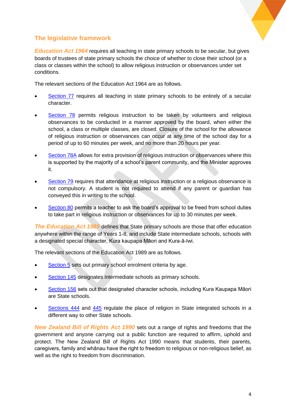

#### **The legislative framework**

*Education Act 1964* requires all teaching in state primary schools to be secular, but gives boards of trustees of state primary schools the choice of whether to close their school (or a class or classes within the school) to allow religious instruction or observances under set conditions.

The relevant sections of the Education Act 1964 are as follows.

- [Section 77](http://www.legislation.govt.nz/act/public/1964/0135/latest/DLM357866.html) requires all teaching in state primary schools to be entirely of a secular character.
- [Section 78](http://www.legislation.govt.nz/act/public/1964/0135/latest/DLM357868.html) permits religious instruction to be taken by volunteers and religious observances to be conducted in a manner approved by the board, when either the school, a class or multiple classes, are closed. Closure of the school for the allowance of religious instruction or observances can occur at any time of the school day for a period of up to 60 minutes per week, and no more than 20 hours per year.
- [Section 78A](http://www.legislation.govt.nz/act/public/1964/0135/latest/DLM357870.html) allows for extra provision of religious instruction or observances where this is supported by the majority of a school's parent community, and the Minister approves it.
- [Section 79](http://www.legislation.govt.nz/act/public/1964/0135/latest/DLM357868.html) requires that attendance at religious instruction or a religious observance is not compulsory. A student is not required to attend if any parent or guardian has conveyed this in writing to the school.
- [Section 80](http://www.legislation.govt.nz/act/public/1964/0135/latest/DLM357873.html) permits a teacher to ask the board's approval to be freed from school duties to take part in religious instruction or observances for up to 30 minutes per week.

**The Education Act 1989** defines that State primary schools are those that offer education anywhere within the range of Years 1-8, and include State intermediate schools, schools with a designated special character, Kura kaupapa Māori and Kura-ā-Iwi.

The relevant sections of the Education Act 1989 are as follows.

- [Section 5](http://www.legislation.govt.nz/act/public/1989/0080/latest/DLM177460.html) sets out primary school enrolment criteria by age.
- [Section 145](http://www.legislation.govt.nz/act/public/1989/0080/latest/DLM182064.html) designates intermediate schools as primary schools.
- [Section 156](http://www.legislation.govt.nz/act/public/1989/0080/latest/DLM182464.html) sets out that designated character schools, including Kura Kaupapa Māori are State schools.
- [Sections 444](http://www.legislation.govt.nz/act/public/1989/0080/latest/DLM7270071.html) and [445](http://www.legislation.govt.nz/act/public/1989/0080/latest/DLM7270072.html) regulate the place of religion in State integrated schools in a different way to other State schools.

*New Zealand Bill of Rights Act 1990* sets out a range of rights and freedoms that the government and anyone carrying out a public function are required to affirm, uphold and protect. The New Zealand Bill of Rights Act 1990 means that students, their parents, caregivers, family and whānau have the right to freedom to religious or non-religious belief, as well as the right to freedom from discrimination.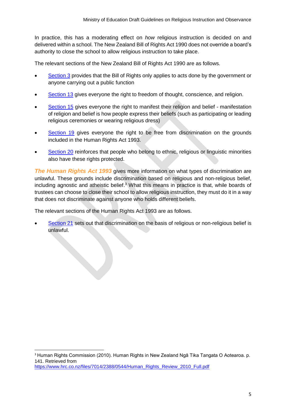In practice, this has a moderating effect on *how* religious instruction is decided on and delivered within a school. The New Zealand Bill of Rights Act 1990 does not override a board's authority to close the school to allow religious instruction to take place.

The relevant sections of the New Zealand Bill of Rights Act 1990 are as follows.

- [Section 3](http://www.legislation.govt.nz/act/public/1990/0109/latest/DLM224799.html) provides that the Bill of Rights only applies to acts done by the government or anyone carrying out a public function
- [Section 13](http://www.legislation.govt.nz/act/public/1990/0109/latest/DLM225512.html) gives everyone the right to freedom of thought, conscience, and religion.
- **[Section 15](http://www.legislation.govt.nz/act/public/1990/0109/latest/DLM225514.html) gives everyone the right to manifest their religion and belief manifestation** of religion and belief is how people express their beliefs (such as participating or leading religious ceremonies or wearing religious dress)
- [Section 19](http://www.legislation.govt.nz/act/public/1990/0109/latest/DLM225518.html) gives everyone the right to be free from discrimination on the grounds included in the Human Rights Act 1993.
- [Section 20](http://www.legislation.govt.nz/act/public/1990/0109/latest/DLM225521.html) reinforces that people who belong to ethnic, religious or linguistic minorities also have these rights protected.

*The Human Rights Act 1993* gives more information on what types of discrimination are unlawful. These grounds include discrimination based on religious and non-religious belief, including agnostic and atheistic belief.<sup>3</sup> What this means in practice is that, while boards of trustees can choose to close their school to allow religious instruction, they must do it in a way that does not discriminate against anyone who holds different beliefs.

The relevant sections of the Human Rights Act 1993 are as follows.

**.** 

<span id="page-5-0"></span>[Section 21](http://www.legislation.govt.nz/act/public/1993/0082/latest/DLM304475.html) sets out that discrimination on the basis of religious or non-religious belief is [unlawful.](http://www.legislation.govt.nz/act/public/1993/0082/latest/DLM304475.html)

<sup>3</sup> Human Rights Commission (2010). Human Rights in New Zealand Ngā Tika Tangata O Aotearoa. p. 141. Retrieved from [https://www.hrc.co.nz/files/7014/2388/0544/Human\\_Rights\\_Review\\_2010\\_Full.pdf](https://www.hrc.co.nz/files/7014/2388/0544/Human_Rights_Review_2010_Full.pdf)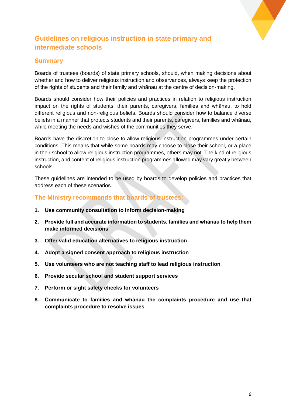

# **Guidelines on religious instruction in state primary and intermediate schools**

#### <span id="page-6-0"></span>**Summary**

Boards of trustees (boards) of state primary schools, should, when making decisions about whether and how to deliver religious instruction and observances, always keep the protection of the rights of students and their family and whānau at the centre of decision-making.

Boards should consider how their policies and practices in relation to religious instruction impact on the rights of students, their parents, caregivers, families and whānau, to hold different religious and non-religious beliefs. Boards should consider how to balance diverse beliefs in a manner that protects students and their parents, caregivers, families and whānau, while meeting the needs and wishes of the communities they serve.

Boards have the discretion to close to allow religious instruction programmes under certain conditions. This means that while some boards may choose to close their school, or a place in their school to allow religious instruction programmes, others may not. The kind of religious instruction, and content of religious instruction programmes allowed may vary greatly between schools.

These guidelines are intended to be used by boards to develop policies and practices that address each of these scenarios.

#### **The Ministry recommends that boards of trustees:**

- **1. Use community consultation to inform decision-making**
- **2. Provide full and accurate information to students, families and whānau to help them make informed decisions**
- **3. Offer valid education alternatives to religious instruction**
- **4. Adopt a signed consent approach to religious instruction**
- **5. Use volunteers who are not teaching staff to lead religious instruction**
- **6. Provide secular school and student support services**
- **7. Perform or sight safety checks for volunteers**
- **8. Communicate to families and whānau the complaints procedure and use that complaints procedure to resolve issues**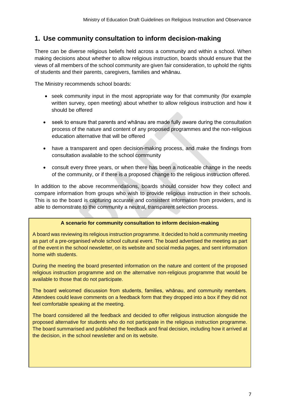#### <span id="page-7-0"></span>**1. Use community consultation to inform decision-making**

There can be diverse religious beliefs held across a community and within a school. When making decisions about whether to allow religious instruction, boards should ensure that the views of all members of the school community are given fair consideration, to uphold the rights of students and their parents, caregivers, families and whānau.

The Ministry recommends school boards:

- seek community input in the most appropriate way for that community (for example written survey, open meeting) about whether to allow religious instruction and how it should be offered
- seek to ensure that parents and whānau are made fully aware during the consultation process of the nature and content of any proposed programmes and the non-religious education alternative that will be offered
- have a transparent and open decision-making process, and make the findings from consultation available to the school community
- consult every three years, or when there has been a noticeable change in the needs of the community, or if there is a proposed change to the religious instruction offered.

In addition to the above recommendations, boards should consider how they collect and compare information from groups who wish to provide religious instruction in their schools. This is so the board is capturing accurate and consistent information from providers, and is able to demonstrate to the community a neutral, transparent selection process.

#### **A scenario for community consultation to inform decision-making**

A board was reviewing its religious instruction programme. It decided to hold a community meeting as part of a pre-organised whole school cultural event. The board advertised the meeting as part of the event in the school newsletter, on its website and social media pages, and sent information home with students.

During the meeting the board presented information on the nature and content of the proposed religious instruction programme and on the alternative non-religious programme that would be available to those that do not participate.

The board welcomed discussion from students, families, whānau, and community members. Attendees could leave comments on a feedback form that they dropped into a box if they did not feel comfortable speaking at the meeting.

The board considered all the feedback and decided to offer religious instruction alongside the proposed alternative for students who do not participate in the religious instruction programme. The board summarised and published the feedback and final decision, including how it arrived at the decision, in the school newsletter and on its website.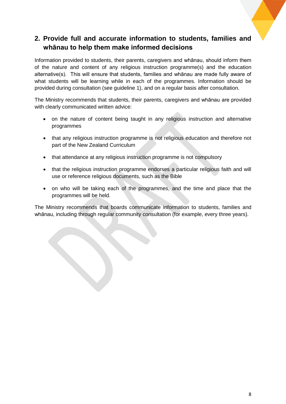# <span id="page-8-0"></span>**2. Provide full and accurate information to students, families and whānau to help them make informed decisions**

Information provided to students, their parents, caregivers and whānau, should inform them of the nature and content of any religious instruction programme(s) and the education alternative(s). This will ensure that students, families and whānau are made fully aware of what students will be learning while in each of the programmes. Information should be provided during consultation (see guideline 1), and on a regular basis after consultation.

The Ministry recommends that students, their parents, caregivers and whānau are provided with clearly communicated written advice:

- on the nature of content being taught in any religious instruction and alternative programmes
- that any religious instruction programme is not religious education and therefore not part of the New Zealand Curriculum
- that attendance at any religious instruction programme is not compulsory
- that the religious instruction programme endorses a particular religious faith and will use or reference religious documents, such as the Bible
- on who will be taking each of the programmes, and the time and place that the programmes will be held.

The Ministry recommends that boards communicate information to students, families and whānau, including through regular community consultation (for example, every three years).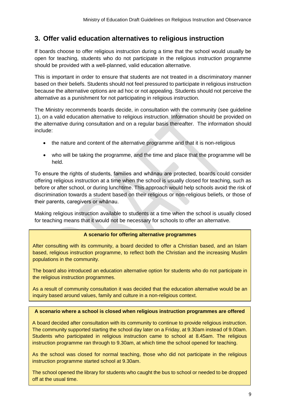#### <span id="page-9-0"></span>**3. Offer valid education alternatives to religious instruction**

If boards choose to offer religious instruction during a time that the school would usually be open for teaching, students who do not participate in the religious instruction programme should be provided with a well-planned, valid education alternative.

This is important in order to ensure that students are not treated in a discriminatory manner based on their beliefs. Students should not feel pressured to participate in religious instruction because the alternative options are ad hoc or not appealing. Students should not perceive the alternative as a punishment for not participating in religious instruction.

The Ministry recommends boards decide, in consultation with the community (see guideline 1), on a valid education alternative to religious instruction. Information should be provided on the alternative during consultation and on a regular basis thereafter. The information should include:

- the nature and content of the alternative programme and that it is non-religious
- who will be taking the programme, and the time and place that the programme will be held.

To ensure the rights of students, families and whānau are protected, boards could consider offering religious instruction at a time when the school is usually closed for teaching, such as before or after school, or during lunchtime. This approach would help schools avoid the risk of discrimination towards a student based on their religious or non-religious beliefs, or those of their parents, caregivers or whānau.

Making religious instruction available to students at a time when the school is usually closed for teaching means that it would not be necessary for schools to offer an alternative.

#### **A scenario for offering alternative programmes**

After consulting with its community, a board decided to offer a Christian based, and an Islam based, religious instruction programme, to reflect both the Christian and the increasing Muslim populations in the community.

The board also introduced an education alternative option for students who do not participate in the religious instruction programmes.

As a result of community consultation it was decided that the education alternative would be an inquiry based around values, family and culture in a non-religious context.

#### **A scenario where a school is closed when religious instruction programmes are offered**

A board decided after consultation with its community to continue to provide religious instruction. The community supported starting the school day later on a Friday, at 9.30am instead of 9.00am. Students who participated in religious instruction came to school at 8.45am. The religious instruction programme ran through to 9.30am, at which time the school opened for teaching.

As the school was closed for normal teaching, those who did not participate in the religious instruction programme started school at 9.30am.

The school opened the library for students who caught the bus to school or needed to be dropped off at the usual time.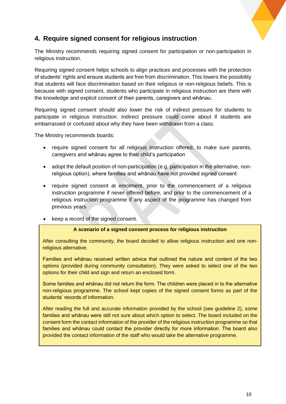

# <span id="page-10-0"></span>**4. Require signed consent for religious instruction**

The Ministry recommends requiring signed consent for participation or non-participation in religious instruction.

Requiring signed consent helps schools to align practices and processes with the protection of students' rights and ensure students are free from discrimination. This lowers the possibility that students will face discrimination based on their religious or non-religious beliefs. This is because with signed consent, students who participate in religious instruction are there with the knowledge and explicit consent of their parents, caregivers and whānau.

Requiring signed consent should also lower the risk of indirect pressure for students to participate in religious instruction. Indirect pressure could come about if students are embarrassed or confused about why they have been withdrawn from a class.

The Ministry recommends boards:

- require signed consent for all religious instruction offered, to make sure parents, caregivers and whānau agree to their child's participation
- adopt the default position of non-participation (e.g. participation in the alternative, nonreligious option), where families and whānau have not provided signed consent
- require signed consent at enrolment, prior to the commencement of a religious instruction programme if never offered before, and prior to the commencement of a religious instruction programme if any aspect of the programme has changed from previous years
- keep a record of the signed consent.

#### **A scenario of a signed consent process for religious instruction**

After consulting the community, the board decided to allow religious instruction and one nonreligious alternative.

Families and whānau received written advice that outlined the nature and content of the two options (provided during community consultation). They were asked to select one of the two options for their child and sign and return an enclosed form.

Some families and whānau did not return the form. The children were placed in to the alternative non-religious programme. The school kept copies of the signed consent forms as part of the students' records of information.

After reading the full and accurate information provided by the school (see guideline 2), some families and whānau were still not sure about which option to select. The board included on the consent form the contact information of the provider of the religious instruction programme so that families and whānau could contact the provider directly for more information. The board also provided the contact information of the staff who would take the alternative programme.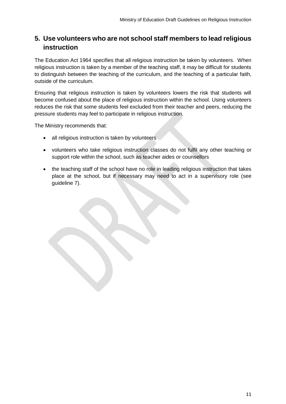# <span id="page-11-0"></span>**5. Use volunteers who are not school staff members to lead religious instruction**

The Education Act 1964 specifies that all religious instruction be taken by volunteers. When religious instruction is taken by a member of the teaching staff, it may be difficult for students to distinguish between the teaching of the curriculum, and the teaching of a particular faith, outside of the curriculum.

Ensuring that religious instruction is taken by volunteers lowers the risk that students will become confused about the place of religious instruction within the school. Using volunteers reduces the risk that some students feel excluded from their teacher and peers, reducing the pressure students may feel to participate in religious instruction.

The Ministry recommends that:

- all religious instruction is taken by volunteers
- volunteers who take religious instruction classes do not fulfil any other teaching or support role within the school, such as teacher aides or counsellors
- the teaching staff of the school have no role in leading religious instruction that takes place at the school, but if necessary may need to act in a supervisory role (see guideline 7).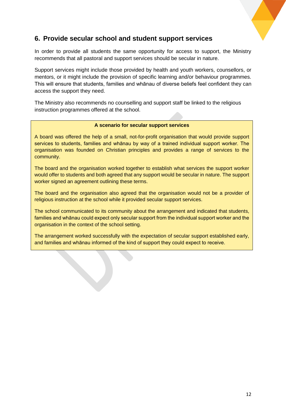

#### <span id="page-12-0"></span>**6. Provide secular school and student support services**

In order to provide all students the same opportunity for access to support, the Ministry recommends that all pastoral and support services should be secular in nature.

Support services might include those provided by health and youth workers, counsellors, or mentors, or it might include the provision of specific learning and/or behaviour programmes. This will ensure that students, families and whānau of diverse beliefs feel confident they can access the support they need.

The Ministry also recommends no counselling and support staff be linked to the religious instruction programmes offered at the school.

#### **A scenario for secular support services**

A board was offered the help of a small, not-for-profit organisation that would provide support services to students, families and whānau by way of a trained individual support worker. The organisation was founded on Christian principles and provides a range of services to the community.

The board and the organisation worked together to establish what services the support worker would offer to students and both agreed that any support would be secular in nature. The support worker signed an agreement outlining these terms.

The board and the organisation also agreed that the organisation would not be a provider of religious instruction at the school while it provided secular support services.

The school communicated to its community about the arrangement and indicated that students, families and whānau could expect only secular support from the individual support worker and the organisation in the context of the school setting.

The arrangement worked successfully with the expectation of secular support established early, and families and whānau informed of the kind of support they could expect to receive.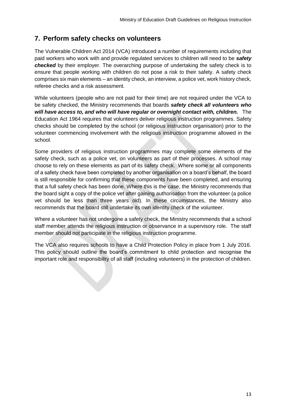### <span id="page-13-0"></span>**7. Perform safety checks on volunteers**

The Vulnerable Children Act 2014 (VCA) introduced a number of requirements including that paid workers who work with and provide regulated services to children will need to be *safety checked* by their employer. The overarching purpose of undertaking the safety check is to ensure that people working with children do not pose a risk to their safety. A safety check comprises six main elements – an identity check, an interview, a police vet, work history check, referee checks and a risk assessment.

While volunteers (people who are not paid for their time) are not required under the VCA to be safety checked, the Ministry recommends that boards *safety check all volunteers who will have access to, and who will have regular or overnight contact with, children.* The Education Act 1964 requires that volunteers deliver religious instruction programmes. Safety checks should be completed by the school (or religious instruction organisation) prior to the volunteer commencing involvement with the religious instruction programme allowed in the school.

Some providers of religious instruction programmes may complete some elements of the safety check, such as a police vet, on volunteers as part of their processes. A school may choose to rely on these elements as part of its safety check. Where some or all components of a safety check have been completed by another organisation on a board's behalf, the board is still responsible for confirming that these components have been completed, and ensuring that a full safety check has been done. Where this is the case, the Ministry recommends that the board sight a copy of the police vet after gaining authorisation from the volunteer (a police vet should be less than three years old). In these circumstances, the Ministry also recommends that the board still undertake its own identity check of the volunteer.

Where a volunteer has not undergone a safety check, the Ministry recommends that a school staff member attends the religious instruction or observance in a supervisory role. The staff member should not participate in the religious instruction programme.

The VCA also requires schools to have a Child Protection Policy in place from 1 July 2016. This policy should outline the board's commitment to child protection and recognise the important role and responsibility of all staff (including volunteers) in the protection of children.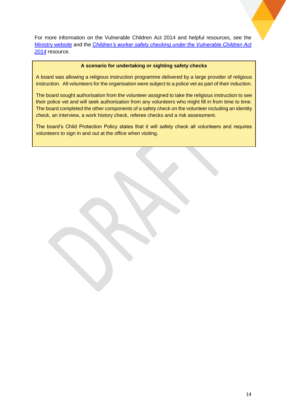For more information on the Vulnerable Children Act 2014 and helpful resources, see the [Ministry website](http://www.education.govt.nz/ministry-of-education/specific-initiatives/childrensactionplanandvulnerablechildrenact/) and the *[Children's worker safety checking under the Vulnerable Children Act](http://childrensactionplan.govt.nz/assets/CAP-Uploads/childrens-workforce/Childrens-worker-safety-checking-under-the-Vulnerable-Children-Act-RC-v1-02.pdf)  [2014](http://childrensactionplan.govt.nz/assets/CAP-Uploads/childrens-workforce/Childrens-worker-safety-checking-under-the-Vulnerable-Children-Act-RC-v1-02.pdf)* resource.

#### **A scenario for undertaking or sighting safety checks**

A board was allowing a religious instruction programme delivered by a large provider of religious instruction. All volunteers for the organisation were subject to a police vet as part of their induction.

The board sought authorisation from the volunteer assigned to take the religious instruction to see their police vet and will seek authorisation from any volunteers who might fill in from time to time. The board completed the other components of a safety check on the volunteer including an identity check, an interview, a work history check, referee checks and a risk assessment.

The board's Child Protection Policy states that it will safety check all volunteers and requires volunteers to sign in and out at the office when visiting.

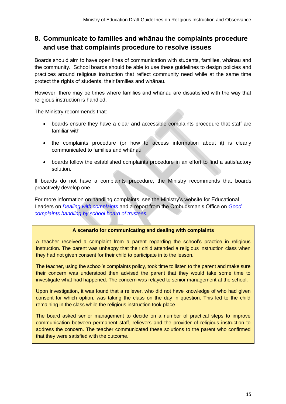# <span id="page-15-0"></span>**8. Communicate to families and whānau the complaints procedure and use that complaints procedure to resolve issues**

Boards should aim to have open lines of communication with students, families, whānau and the community. School boards should be able to use these guidelines to design policies and practices around religious instruction that reflect community need while at the same time protect the rights of students, their families and whānau.

However, there may be times where families and whānau are dissatisfied with the way that religious instruction is handled.

The Ministry recommends that:

- boards ensure they have a clear and accessible complaints procedure that staff are familiar with
- the complaints procedure (or how to access information about it) is clearly communicated to families and whānau
- boards follow the established complaints procedure in an effort to find a satisfactory solution.

If boards do not have a complaints procedure, the Ministry recommends that boards proactively develop one.

For more information on handling complaints, see the Ministry's website for Educational Leaders on *[Dealing with complaints](http://docs.moe.govt.nz/WorkplaceXT/Browse.jsf)* and a report from the Ombudsman's Office on *[Good](http://www.ombudsman.parliament.nz/system/paperclip/document_files/document_files/533/original/good_complaints_handling_by_school_boards_of_trustees.pdf?1358988178)  [complaints handling by school board of trustees.](http://www.ombudsman.parliament.nz/system/paperclip/document_files/document_files/533/original/good_complaints_handling_by_school_boards_of_trustees.pdf?1358988178)*

#### **A scenario for communicating and dealing with complaints**

A teacher received a complaint from a parent regarding the school's practice in religious instruction. The parent was unhappy that their child attended a religious instruction class when they had not given consent for their child to participate in to the lesson.

The teacher, using the school's complaints policy, took time to listen to the parent and make sure their concern was understood then advised the parent that they would take some time to investigate what had happened. The concern was relayed to senior management at the school.

Upon investigation, it was found that a reliever, who did not have knowledge of who had given consent for which option, was taking the class on the day in question. This led to the child remaining in the class while the religious instruction took place.

<span id="page-15-1"></span>The board asked senior management to decide on a number of practical steps to improve communication between permanent staff, relievers and the provider of religious instruction to address the concern. The teacher communicated these solutions to the parent who confirmed that they were satisfied with the outcome.